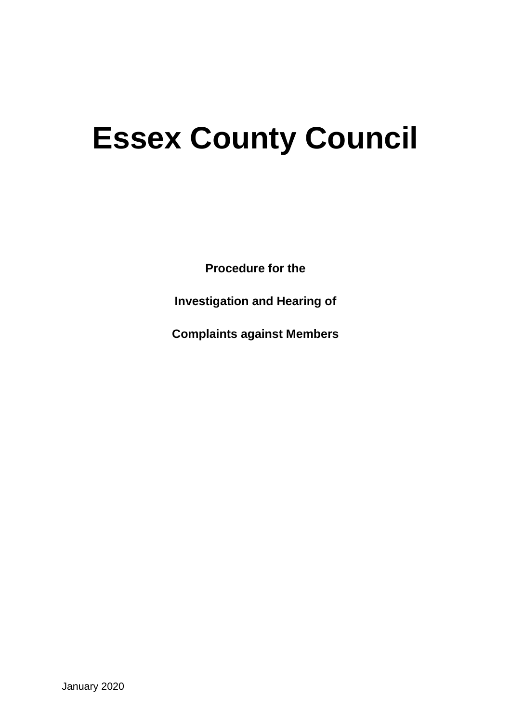# **Essex County Council**

**Procedure for the** 

**Investigation and Hearing of** 

**Complaints against Members**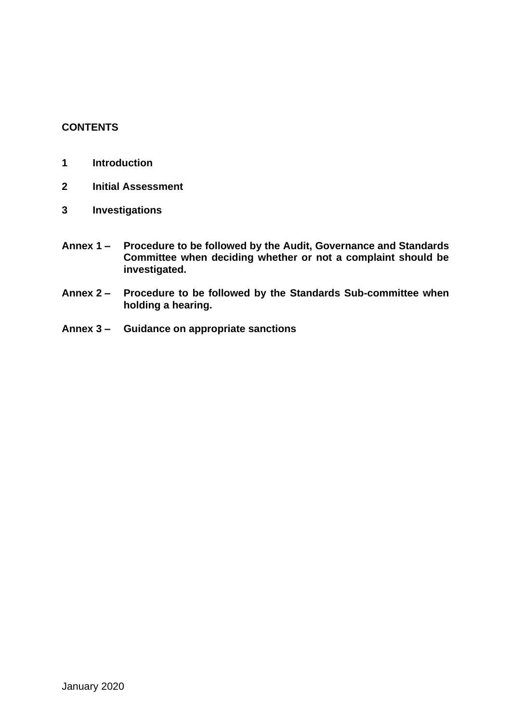# **CONTENTS**

- **1 Introduction**
- **2 Initial Assessment**
- **3 Investigations**
- **Annex 1 – Procedure to be followed by the Audit, Governance and Standards Committee when deciding whether or not a complaint should be investigated.**
- **Annex 2 – Procedure to be followed by the Standards Sub-committee when holding a hearing.**
- **Annex 3 – Guidance on appropriate sanctions**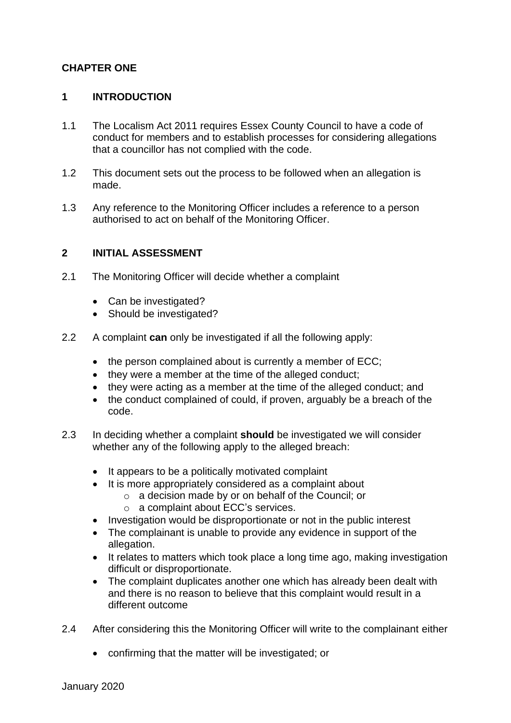# **CHAPTER ONE**

# **1 INTRODUCTION**

- 1.1 The Localism Act 2011 requires Essex County Council to have a code of conduct for members and to establish processes for considering allegations that a councillor has not complied with the code.
- 1.2 This document sets out the process to be followed when an allegation is made.
- 1.3 Any reference to the Monitoring Officer includes a reference to a person authorised to act on behalf of the Monitoring Officer.

#### **2 INITIAL ASSESSMENT**

- 2.1 The Monitoring Officer will decide whether a complaint
	- Can be investigated?
	- Should be investigated?
- 2.2 A complaint **can** only be investigated if all the following apply:
	- the person complained about is currently a member of ECC;
	- they were a member at the time of the alleged conduct;
	- they were acting as a member at the time of the alleged conduct; and
	- the conduct complained of could, if proven, arguably be a breach of the code.
- 2.3 In deciding whether a complaint **should** be investigated we will consider whether any of the following apply to the alleged breach:
	- It appears to be a politically motivated complaint
	- It is more appropriately considered as a complaint about
		- o a decision made by or on behalf of the Council; or
			- o a complaint about ECC's services.
	- Investigation would be disproportionate or not in the public interest
	- The complainant is unable to provide any evidence in support of the allegation.
	- It relates to matters which took place a long time ago, making investigation difficult or disproportionate.
	- The complaint duplicates another one which has already been dealt with and there is no reason to believe that this complaint would result in a different outcome
- 2.4 After considering this the Monitoring Officer will write to the complainant either
	- confirming that the matter will be investigated; or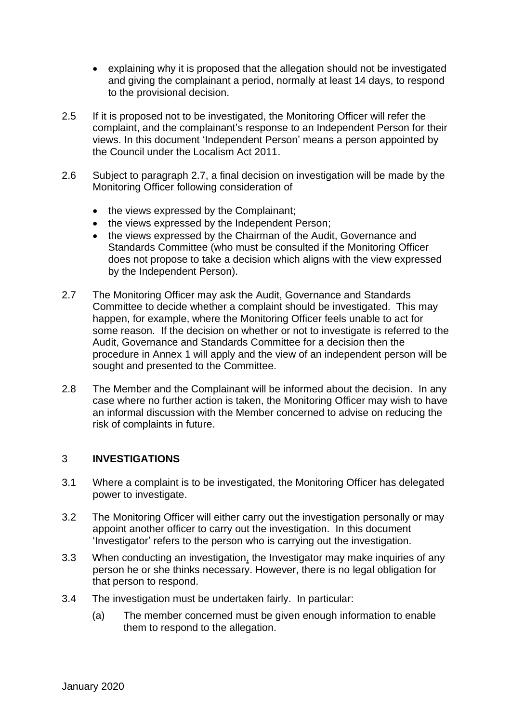- explaining why it is proposed that the allegation should not be investigated and giving the complainant a period, normally at least 14 days, to respond to the provisional decision.
- 2.5 If it is proposed not to be investigated, the Monitoring Officer will refer the complaint, and the complainant's response to an Independent Person for their views. In this document 'Independent Person' means a person appointed by the Council under the Localism Act 2011.
- 2.6 Subject to paragraph 2.7, a final decision on investigation will be made by the Monitoring Officer following consideration of
	- the views expressed by the Complainant;
	- the views expressed by the Independent Person;
	- the views expressed by the Chairman of the Audit, Governance and Standards Committee (who must be consulted if the Monitoring Officer does not propose to take a decision which aligns with the view expressed by the Independent Person).
- 2.7 The Monitoring Officer may ask the Audit, Governance and Standards Committee to decide whether a complaint should be investigated. This may happen, for example, where the Monitoring Officer feels unable to act for some reason. If the decision on whether or not to investigate is referred to the Audit, Governance and Standards Committee for a decision then the procedure in Annex 1 will apply and the view of an independent person will be sought and presented to the Committee.
- 2.8 The Member and the Complainant will be informed about the decision. In any case where no further action is taken, the Monitoring Officer may wish to have an informal discussion with the Member concerned to advise on reducing the risk of complaints in future.

# 3 **INVESTIGATIONS**

- 3.1 Where a complaint is to be investigated, the Monitoring Officer has delegated power to investigate.
- 3.2 The Monitoring Officer will either carry out the investigation personally or may appoint another officer to carry out the investigation. In this document 'Investigator' refers to the person who is carrying out the investigation.
- 3.3 When conducting an investigation, the Investigator may make inquiries of any person he or she thinks necessary. However, there is no legal obligation for that person to respond.
- 3.4 The investigation must be undertaken fairly. In particular:
	- (a) The member concerned must be given enough information to enable them to respond to the allegation.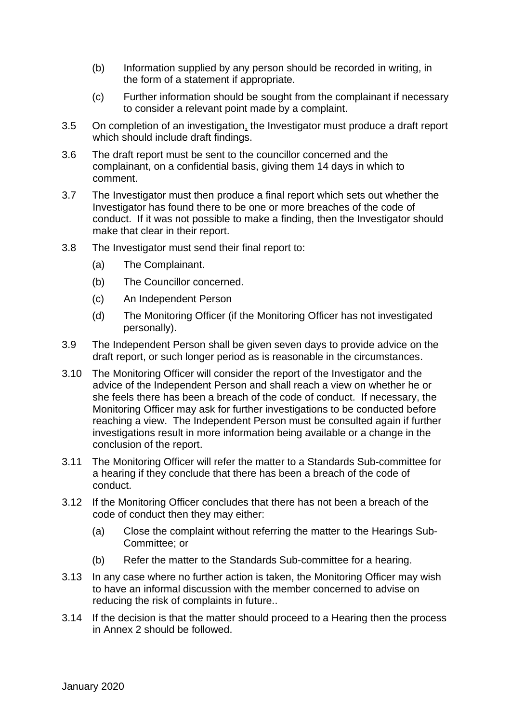- (b) Information supplied by any person should be recorded in writing, in the form of a statement if appropriate.
- (c) Further information should be sought from the complainant if necessary to consider a relevant point made by a complaint.
- 3.5 On completion of an investigation, the Investigator must produce a draft report which should include draft findings.
- 3.6 The draft report must be sent to the councillor concerned and the complainant, on a confidential basis, giving them 14 days in which to comment.
- 3.7 The Investigator must then produce a final report which sets out whether the Investigator has found there to be one or more breaches of the code of conduct. If it was not possible to make a finding, then the Investigator should make that clear in their report.
- 3.8 The Investigator must send their final report to:
	- (a) The Complainant.
	- (b) The Councillor concerned.
	- (c) An Independent Person
	- (d) The Monitoring Officer (if the Monitoring Officer has not investigated personally).
- 3.9 The Independent Person shall be given seven days to provide advice on the draft report, or such longer period as is reasonable in the circumstances.
- 3.10 The Monitoring Officer will consider the report of the Investigator and the advice of the Independent Person and shall reach a view on whether he or she feels there has been a breach of the code of conduct. If necessary, the Monitoring Officer may ask for further investigations to be conducted before reaching a view. The Independent Person must be consulted again if further investigations result in more information being available or a change in the conclusion of the report.
- 3.11 The Monitoring Officer will refer the matter to a Standards Sub-committee for a hearing if they conclude that there has been a breach of the code of conduct.
- 3.12 If the Monitoring Officer concludes that there has not been a breach of the code of conduct then they may either:
	- (a) Close the complaint without referring the matter to the Hearings Sub-Committee; or
	- (b) Refer the matter to the Standards Sub-committee for a hearing.
- 3.13 In any case where no further action is taken, the Monitoring Officer may wish to have an informal discussion with the member concerned to advise on reducing the risk of complaints in future..
- 3.14 If the decision is that the matter should proceed to a Hearing then the process in Annex 2 should be followed.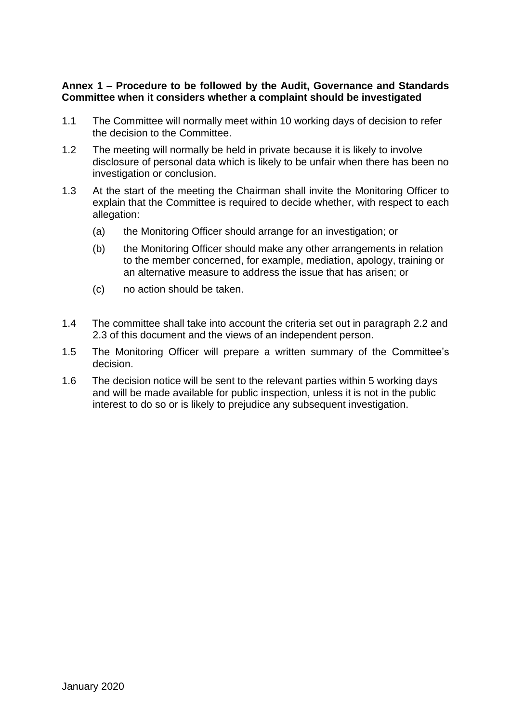# **Annex 1 – Procedure to be followed by the Audit, Governance and Standards Committee when it considers whether a complaint should be investigated**

- 1.1 The Committee will normally meet within 10 working days of decision to refer the decision to the Committee.
- 1.2 The meeting will normally be held in private because it is likely to involve disclosure of personal data which is likely to be unfair when there has been no investigation or conclusion.
- 1.3 At the start of the meeting the Chairman shall invite the Monitoring Officer to explain that the Committee is required to decide whether, with respect to each allegation:
	- (a) the Monitoring Officer should arrange for an investigation; or
	- (b) the Monitoring Officer should make any other arrangements in relation to the member concerned, for example, mediation, apology, training or an alternative measure to address the issue that has arisen; or
	- (c) no action should be taken.
- 1.4 The committee shall take into account the criteria set out in paragraph 2.2 and 2.3 of this document and the views of an independent person.
- 1.5 The Monitoring Officer will prepare a written summary of the Committee's decision.
- 1.6 The decision notice will be sent to the relevant parties within 5 working days and will be made available for public inspection, unless it is not in the public interest to do so or is likely to prejudice any subsequent investigation.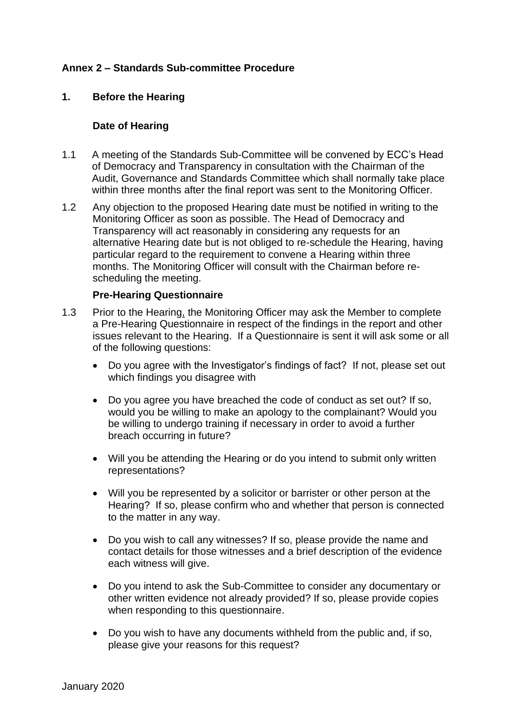# **Annex 2 – Standards Sub-committee Procedure**

#### **1. Before the Hearing**

#### **Date of Hearing**

- 1.1 A meeting of the Standards Sub-Committee will be convened by ECC's Head of Democracy and Transparency in consultation with the Chairman of the Audit, Governance and Standards Committee which shall normally take place within three months after the final report was sent to the Monitoring Officer.
- 1.2 Any objection to the proposed Hearing date must be notified in writing to the Monitoring Officer as soon as possible. The Head of Democracy and Transparency will act reasonably in considering any requests for an alternative Hearing date but is not obliged to re-schedule the Hearing, having particular regard to the requirement to convene a Hearing within three months. The Monitoring Officer will consult with the Chairman before rescheduling the meeting.

#### **Pre-Hearing Questionnaire**

- 1.3 Prior to the Hearing, the Monitoring Officer may ask the Member to complete a Pre-Hearing Questionnaire in respect of the findings in the report and other issues relevant to the Hearing. If a Questionnaire is sent it will ask some or all of the following questions:
	- Do you agree with the Investigator's findings of fact? If not, please set out which findings you disagree with
	- Do you agree you have breached the code of conduct as set out? If so, would you be willing to make an apology to the complainant? Would you be willing to undergo training if necessary in order to avoid a further breach occurring in future?
	- Will you be attending the Hearing or do you intend to submit only written representations?
	- Will you be represented by a solicitor or barrister or other person at the Hearing? If so, please confirm who and whether that person is connected to the matter in any way.
	- Do you wish to call any witnesses? If so, please provide the name and contact details for those witnesses and a brief description of the evidence each witness will give.
	- Do you intend to ask the Sub-Committee to consider any documentary or other written evidence not already provided? If so, please provide copies when responding to this questionnaire.
	- Do you wish to have any documents withheld from the public and, if so, please give your reasons for this request?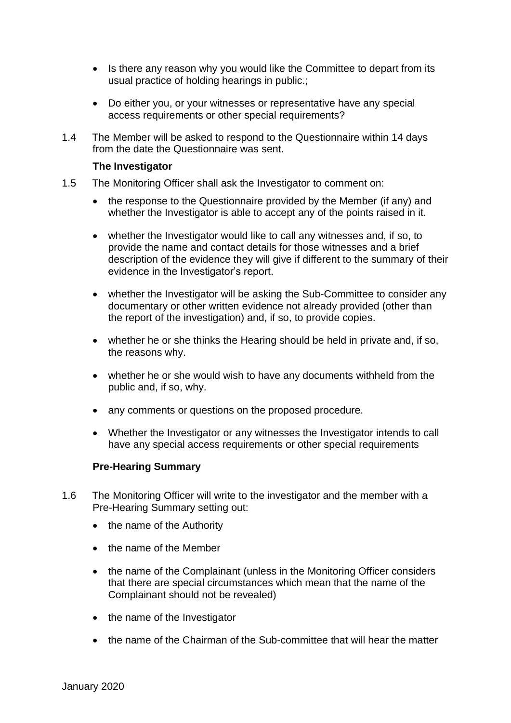- Is there any reason why you would like the Committee to depart from its usual practice of holding hearings in public.;
- Do either you, or your witnesses or representative have any special access requirements or other special requirements?
- 1.4 The Member will be asked to respond to the Questionnaire within 14 days from the date the Questionnaire was sent.

#### **The Investigator**

- 1.5 The Monitoring Officer shall ask the Investigator to comment on:
	- the response to the Questionnaire provided by the Member (if any) and whether the Investigator is able to accept any of the points raised in it.
	- whether the Investigator would like to call any witnesses and, if so, to provide the name and contact details for those witnesses and a brief description of the evidence they will give if different to the summary of their evidence in the Investigator's report.
	- whether the Investigator will be asking the Sub-Committee to consider any documentary or other written evidence not already provided (other than the report of the investigation) and, if so, to provide copies.
	- whether he or she thinks the Hearing should be held in private and, if so, the reasons why.
	- whether he or she would wish to have any documents withheld from the public and, if so, why.
	- any comments or questions on the proposed procedure.
	- Whether the Investigator or any witnesses the Investigator intends to call have any special access requirements or other special requirements

# **Pre-Hearing Summary**

- 1.6 The Monitoring Officer will write to the investigator and the member with a Pre-Hearing Summary setting out:
	- the name of the Authority
	- the name of the Member
	- the name of the Complainant (unless in the Monitoring Officer considers that there are special circumstances which mean that the name of the Complainant should not be revealed)
	- the name of the Investigator
	- the name of the Chairman of the Sub-committee that will hear the matter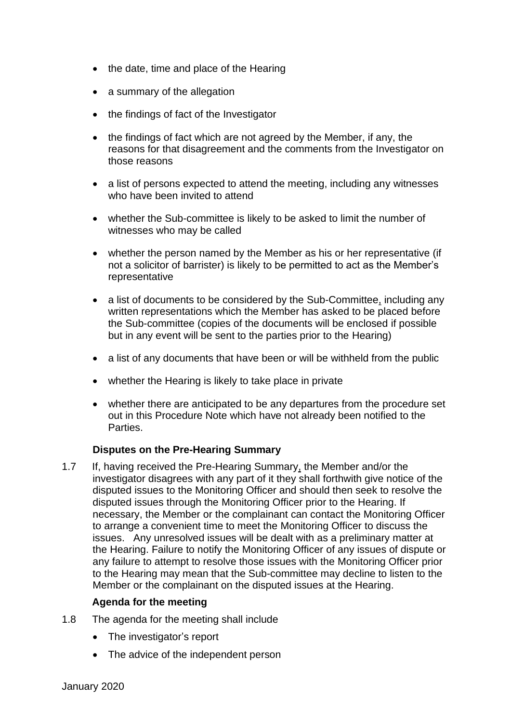- the date, time and place of the Hearing
- a summary of the allegation
- the findings of fact of the Investigator
- the findings of fact which are not agreed by the Member, if any, the reasons for that disagreement and the comments from the Investigator on those reasons
- a list of persons expected to attend the meeting, including any witnesses who have been invited to attend
- whether the Sub-committee is likely to be asked to limit the number of witnesses who may be called
- whether the person named by the Member as his or her representative (if not a solicitor of barrister) is likely to be permitted to act as the Member's representative
- a list of documents to be considered by the Sub-Committee, including any written representations which the Member has asked to be placed before the Sub-committee (copies of the documents will be enclosed if possible but in any event will be sent to the parties prior to the Hearing)
- a list of any documents that have been or will be withheld from the public
- whether the Hearing is likely to take place in private
- whether there are anticipated to be any departures from the procedure set out in this Procedure Note which have not already been notified to the Parties.

# **Disputes on the Pre-Hearing Summary**

1.7 If, having received the Pre-Hearing Summary, the Member and/or the investigator disagrees with any part of it they shall forthwith give notice of the disputed issues to the Monitoring Officer and should then seek to resolve the disputed issues through the Monitoring Officer prior to the Hearing. If necessary, the Member or the complainant can contact the Monitoring Officer to arrange a convenient time to meet the Monitoring Officer to discuss the issues. Any unresolved issues will be dealt with as a preliminary matter at the Hearing. Failure to notify the Monitoring Officer of any issues of dispute or any failure to attempt to resolve those issues with the Monitoring Officer prior to the Hearing may mean that the Sub-committee may decline to listen to the Member or the complainant on the disputed issues at the Hearing.

# **Agenda for the meeting**

- 1.8 The agenda for the meeting shall include
	- The investigator's report
	- The advice of the independent person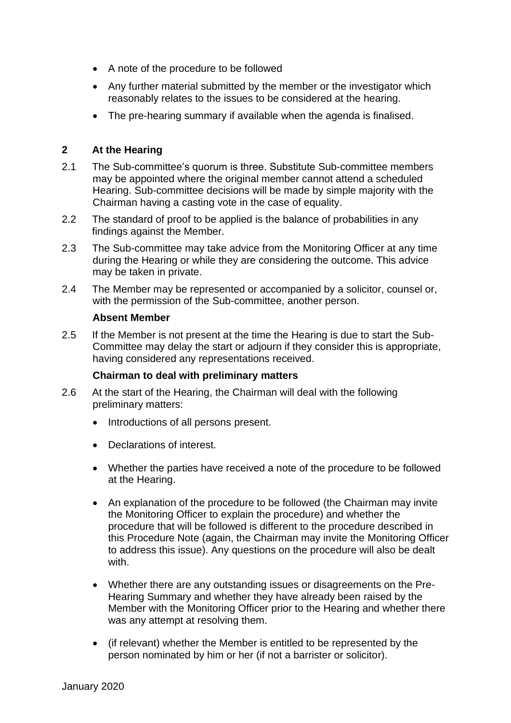- A note of the procedure to be followed
- Any further material submitted by the member or the investigator which reasonably relates to the issues to be considered at the hearing.
- The pre-hearing summary if available when the agenda is finalised.

# **2 At the Hearing**

- 2.1 The Sub-committee's quorum is three. Substitute Sub-committee members may be appointed where the original member cannot attend a scheduled Hearing. Sub-committee decisions will be made by simple majority with the Chairman having a casting vote in the case of equality.
- 2.2 The standard of proof to be applied is the balance of probabilities in any findings against the Member.
- 2.3 The Sub-committee may take advice from the Monitoring Officer at any time during the Hearing or while they are considering the outcome. This advice may be taken in private.
- 2.4 The Member may be represented or accompanied by a solicitor, counsel or, with the permission of the Sub-committee, another person.

#### **Absent Member**

2.5 If the Member is not present at the time the Hearing is due to start the Sub-Committee may delay the start or adjourn if they consider this is appropriate, having considered any representations received.

# **Chairman to deal with preliminary matters**

- 2.6 At the start of the Hearing, the Chairman will deal with the following preliminary matters:
	- Introductions of all persons present.
	- Declarations of interest.
	- Whether the parties have received a note of the procedure to be followed at the Hearing.
	- An explanation of the procedure to be followed (the Chairman may invite the Monitoring Officer to explain the procedure) and whether the procedure that will be followed is different to the procedure described in this Procedure Note (again, the Chairman may invite the Monitoring Officer to address this issue). Any questions on the procedure will also be dealt with.
	- Whether there are any outstanding issues or disagreements on the Pre-Hearing Summary and whether they have already been raised by the Member with the Monitoring Officer prior to the Hearing and whether there was any attempt at resolving them.
	- (if relevant) whether the Member is entitled to be represented by the person nominated by him or her (if not a barrister or solicitor).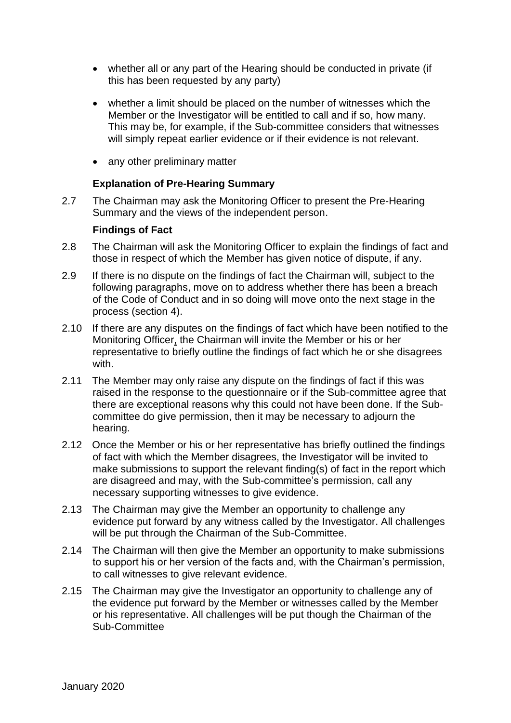- whether all or any part of the Hearing should be conducted in private (if this has been requested by any party)
- whether a limit should be placed on the number of witnesses which the Member or the Investigator will be entitled to call and if so, how many. This may be, for example, if the Sub-committee considers that witnesses will simply repeat earlier evidence or if their evidence is not relevant.
- any other preliminary matter

# **Explanation of Pre-Hearing Summary**

2.7 The Chairman may ask the Monitoring Officer to present the Pre-Hearing Summary and the views of the independent person.

# **Findings of Fact**

- 2.8 The Chairman will ask the Monitoring Officer to explain the findings of fact and those in respect of which the Member has given notice of dispute, if any.
- 2.9 If there is no dispute on the findings of fact the Chairman will, subject to the following paragraphs, move on to address whether there has been a breach of the Code of Conduct and in so doing will move onto the next stage in the process (section 4).
- 2.10 If there are any disputes on the findings of fact which have been notified to the Monitoring Officer, the Chairman will invite the Member or his or her representative to briefly outline the findings of fact which he or she disagrees with.
- 2.11 The Member may only raise any dispute on the findings of fact if this was raised in the response to the questionnaire or if the Sub-committee agree that there are exceptional reasons why this could not have been done. If the Subcommittee do give permission, then it may be necessary to adjourn the hearing.
- 2.12 Once the Member or his or her representative has briefly outlined the findings of fact with which the Member disagrees, the Investigator will be invited to make submissions to support the relevant finding(s) of fact in the report which are disagreed and may, with the Sub-committee's permission, call any necessary supporting witnesses to give evidence.
- 2.13 The Chairman may give the Member an opportunity to challenge any evidence put forward by any witness called by the Investigator. All challenges will be put through the Chairman of the Sub-Committee.
- 2.14 The Chairman will then give the Member an opportunity to make submissions to support his or her version of the facts and, with the Chairman's permission, to call witnesses to give relevant evidence.
- 2.15 The Chairman may give the Investigator an opportunity to challenge any of the evidence put forward by the Member or witnesses called by the Member or his representative. All challenges will be put though the Chairman of the Sub-Committee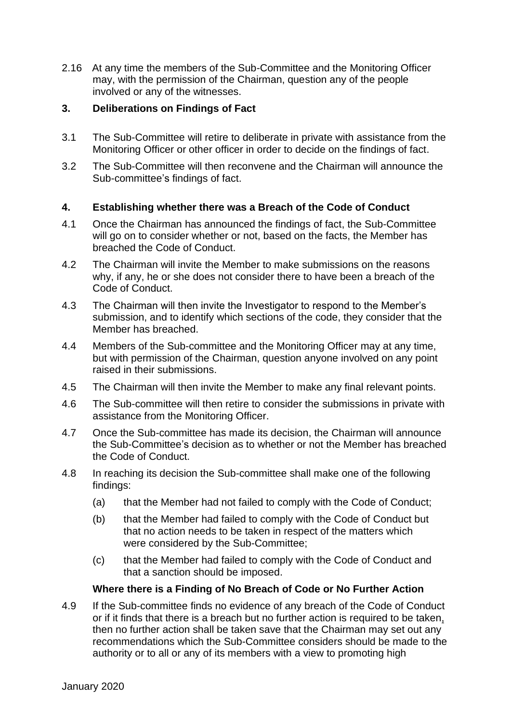2.16 At any time the members of the Sub-Committee and the Monitoring Officer may, with the permission of the Chairman, question any of the people involved or any of the witnesses.

# **3. Deliberations on Findings of Fact**

- 3.1 The Sub-Committee will retire to deliberate in private with assistance from the Monitoring Officer or other officer in order to decide on the findings of fact.
- 3.2 The Sub-Committee will then reconvene and the Chairman will announce the Sub-committee's findings of fact.

# **4. Establishing whether there was a Breach of the Code of Conduct**

- 4.1 Once the Chairman has announced the findings of fact, the Sub-Committee will go on to consider whether or not, based on the facts, the Member has breached the Code of Conduct.
- 4.2 The Chairman will invite the Member to make submissions on the reasons why, if any, he or she does not consider there to have been a breach of the Code of Conduct.
- 4.3 The Chairman will then invite the Investigator to respond to the Member's submission, and to identify which sections of the code, they consider that the Member has breached.
- 4.4 Members of the Sub-committee and the Monitoring Officer may at any time, but with permission of the Chairman, question anyone involved on any point raised in their submissions.
- 4.5 The Chairman will then invite the Member to make any final relevant points.
- 4.6 The Sub-committee will then retire to consider the submissions in private with assistance from the Monitoring Officer.
- 4.7 Once the Sub-committee has made its decision, the Chairman will announce the Sub-Committee's decision as to whether or not the Member has breached the Code of Conduct.
- 4.8 In reaching its decision the Sub-committee shall make one of the following findings:
	- (a) that the Member had not failed to comply with the Code of Conduct;
	- (b) that the Member had failed to comply with the Code of Conduct but that no action needs to be taken in respect of the matters which were considered by the Sub-Committee;
	- (c) that the Member had failed to comply with the Code of Conduct and that a sanction should be imposed.

# **Where there is a Finding of No Breach of Code or No Further Action**

4.9 If the Sub-committee finds no evidence of any breach of the Code of Conduct or if it finds that there is a breach but no further action is required to be taken, then no further action shall be taken save that the Chairman may set out any recommendations which the Sub-Committee considers should be made to the authority or to all or any of its members with a view to promoting high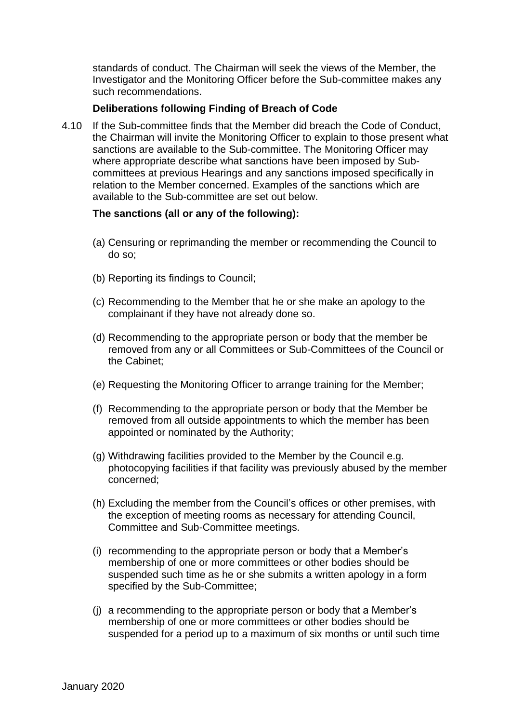standards of conduct. The Chairman will seek the views of the Member, the Investigator and the Monitoring Officer before the Sub-committee makes any such recommendations.

# **Deliberations following Finding of Breach of Code**

4.10 If the Sub-committee finds that the Member did breach the Code of Conduct, the Chairman will invite the Monitoring Officer to explain to those present what sanctions are available to the Sub-committee. The Monitoring Officer may where appropriate describe what sanctions have been imposed by Subcommittees at previous Hearings and any sanctions imposed specifically in relation to the Member concerned. Examples of the sanctions which are available to the Sub-committee are set out below.

#### **The sanctions (all or any of the following):**

- (a) Censuring or reprimanding the member or recommending the Council to do so;
- (b) Reporting its findings to Council;
- (c) Recommending to the Member that he or she make an apology to the complainant if they have not already done so.
- (d) Recommending to the appropriate person or body that the member be removed from any or all Committees or Sub-Committees of the Council or the Cabinet;
- (e) Requesting the Monitoring Officer to arrange training for the Member;
- (f) Recommending to the appropriate person or body that the Member be removed from all outside appointments to which the member has been appointed or nominated by the Authority;
- (g) Withdrawing facilities provided to the Member by the Council e.g. photocopying facilities if that facility was previously abused by the member concerned;
- (h) Excluding the member from the Council's offices or other premises, with the exception of meeting rooms as necessary for attending Council, Committee and Sub-Committee meetings.
- (i) recommending to the appropriate person or body that a Member's membership of one or more committees or other bodies should be suspended such time as he or she submits a written apology in a form specified by the Sub-Committee;
- (j) a recommending to the appropriate person or body that a Member's membership of one or more committees or other bodies should be suspended for a period up to a maximum of six months or until such time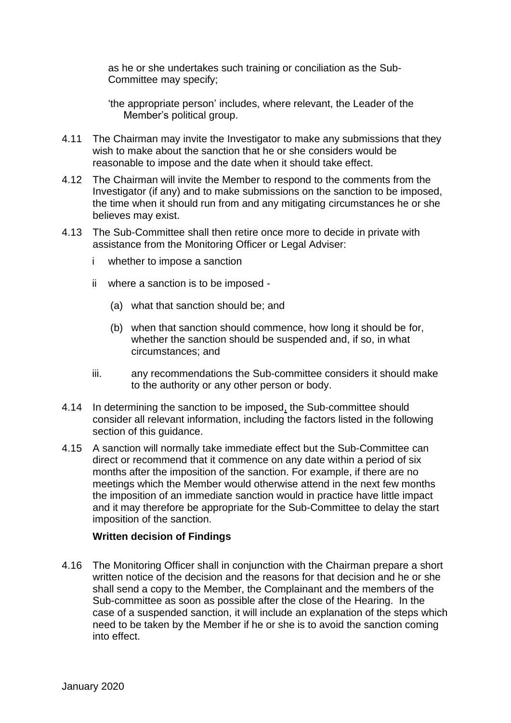as he or she undertakes such training or conciliation as the Sub-Committee may specify;

- 'the appropriate person' includes, where relevant, the Leader of the Member's political group.
- 4.11 The Chairman may invite the Investigator to make any submissions that they wish to make about the sanction that he or she considers would be reasonable to impose and the date when it should take effect.
- 4.12 The Chairman will invite the Member to respond to the comments from the Investigator (if any) and to make submissions on the sanction to be imposed, the time when it should run from and any mitigating circumstances he or she believes may exist.
- 4.13 The Sub-Committee shall then retire once more to decide in private with assistance from the Monitoring Officer or Legal Adviser:
	- i whether to impose a sanction
	- ii where a sanction is to be imposed
		- (a) what that sanction should be; and
		- (b) when that sanction should commence, how long it should be for, whether the sanction should be suspended and, if so, in what circumstances; and
	- iii. any recommendations the Sub-committee considers it should make to the authority or any other person or body.
- 4.14 In determining the sanction to be imposed, the Sub-committee should consider all relevant information, including the factors listed in the following section of this quidance.
- 4.15 A sanction will normally take immediate effect but the Sub-Committee can direct or recommend that it commence on any date within a period of six months after the imposition of the sanction. For example, if there are no meetings which the Member would otherwise attend in the next few months the imposition of an immediate sanction would in practice have little impact and it may therefore be appropriate for the Sub-Committee to delay the start imposition of the sanction.

# **Written decision of Findings**

4.16 The Monitoring Officer shall in conjunction with the Chairman prepare a short written notice of the decision and the reasons for that decision and he or she shall send a copy to the Member, the Complainant and the members of the Sub-committee as soon as possible after the close of the Hearing. In the case of a suspended sanction, it will include an explanation of the steps which need to be taken by the Member if he or she is to avoid the sanction coming into effect.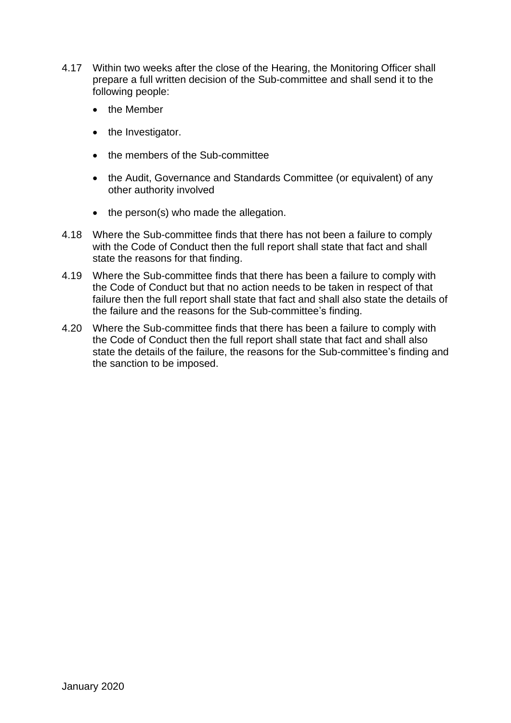- 4.17 Within two weeks after the close of the Hearing, the Monitoring Officer shall prepare a full written decision of the Sub-committee and shall send it to the following people:
	- the Member
	- the Investigator.
	- the members of the Sub-committee
	- the Audit, Governance and Standards Committee (or equivalent) of any other authority involved
	- the person(s) who made the allegation.
- 4.18 Where the Sub-committee finds that there has not been a failure to comply with the Code of Conduct then the full report shall state that fact and shall state the reasons for that finding.
- 4.19 Where the Sub-committee finds that there has been a failure to comply with the Code of Conduct but that no action needs to be taken in respect of that failure then the full report shall state that fact and shall also state the details of the failure and the reasons for the Sub-committee's finding.
- 4.20 Where the Sub-committee finds that there has been a failure to comply with the Code of Conduct then the full report shall state that fact and shall also state the details of the failure, the reasons for the Sub-committee's finding and the sanction to be imposed.